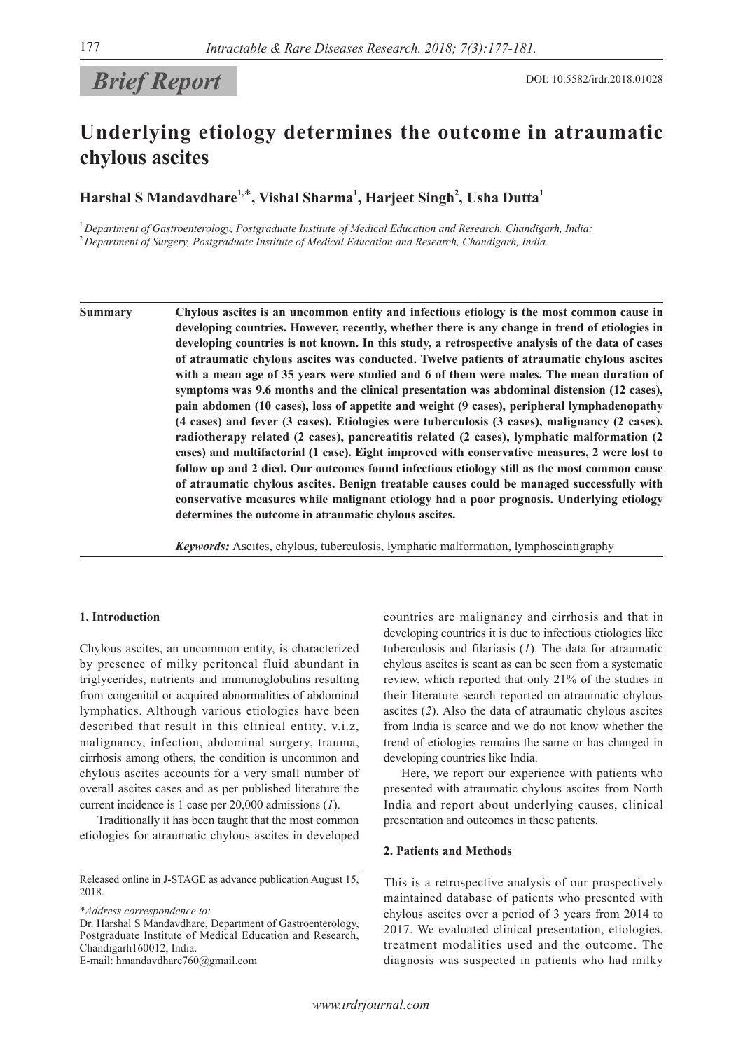# **Brief Report** DOI: 10.5582/irdr.2018.01028

# **Underlying etiology determines the outcome in atraumatic chylous ascites**

# Harshal S Mandavdhare<sup>1,\*</sup>, Vishal Sharma<sup>1</sup>, Harjeet Singh<sup>2</sup>, Usha Dutta<sup>1</sup>

<sup>1</sup>*Department of Gastroenterology, Postgraduate Institute of Medical Education and Research, Chandigarh, India;* <sup>2</sup>*Department of Surgery, Postgraduate Institute of Medical Education and Research, Chandigarh, India.*

**Summary Chylous ascites is an uncommon entity and infectious etiology is the most common cause in developing countries. However, recently, whether there is any change in trend of etiologies in developing countries is not known. In this study, a retrospective analysis of the data of cases of atraumatic chylous ascites was conducted. Twelve patients of atraumatic chylous ascites with a mean age of 35 years were studied and 6 of them were males. The mean duration of symptoms was 9.6 months and the clinical presentation was abdominal distension (12 cases), pain abdomen (10 cases), loss of appetite and weight (9 cases), peripheral lymphadenopathy (4 cases) and fever (3 cases). Etiologies were tuberculosis (3 cases), malignancy (2 cases), radiotherapy related (2 cases), pancreatitis related (2 cases), lymphatic malformation (2 cases) and multifactorial (1 case). Eight improved with conservative measures, 2 were lost to follow up and 2 died. Our outcomes found infectious etiology still as the most common cause of atraumatic chylous ascites. Benign treatable causes could be managed successfully with conservative measures while malignant etiology had a poor prognosis. Underlying etiology determines the outcome in atraumatic chylous ascites.**

*Keywords:* Ascites, chylous, tuberculosis, lymphatic malformation, lymphoscintigraphy

## **1. Introduction**

Chylous ascites, an uncommon entity, is characterized by presence of milky peritoneal fluid abundant in triglycerides, nutrients and immunoglobulins resulting from congenital or acquired abnormalities of abdominal lymphatics. Although various etiologies have been described that result in this clinical entity, v.i.z, malignancy, infection, abdominal surgery, trauma, cirrhosis among others, the condition is uncommon and chylous ascites accounts for a very small number of overall ascites cases and as per published literature the current incidence is 1 case per 20,000 admissions (*1*).

Traditionally it has been taught that the most common etiologies for atraumatic chylous ascites in developed

\**Address correspondence to:*

countries are malignancy and cirrhosis and that in developing countries it is due to infectious etiologies like tuberculosis and filariasis (*1*). The data for atraumatic chylous ascites is scant as can be seen from a systematic review, which reported that only 21% of the studies in their literature search reported on atraumatic chylous ascites (*2*). Also the data of atraumatic chylous ascites from India is scarce and we do not know whether the trend of etiologies remains the same or has changed in developing countries like India.

Here, we report our experience with patients who presented with atraumatic chylous ascites from North India and report about underlying causes, clinical presentation and outcomes in these patients.

#### **2. Patients and Methods**

This is a retrospective analysis of our prospectively maintained database of patients who presented with chylous ascites over a period of 3 years from 2014 to 2017. We evaluated clinical presentation, etiologies, treatment modalities used and the outcome. The diagnosis was suspected in patients who had milky

Released online in J-STAGE as advance publication August 15, 2018.

Dr. Harshal S Mandavdhare, Department of Gastroenterology, Postgraduate Institute of Medical Education and Research, Chandigarh160012, India.

E-mail: hmandavdhare760@gmail.com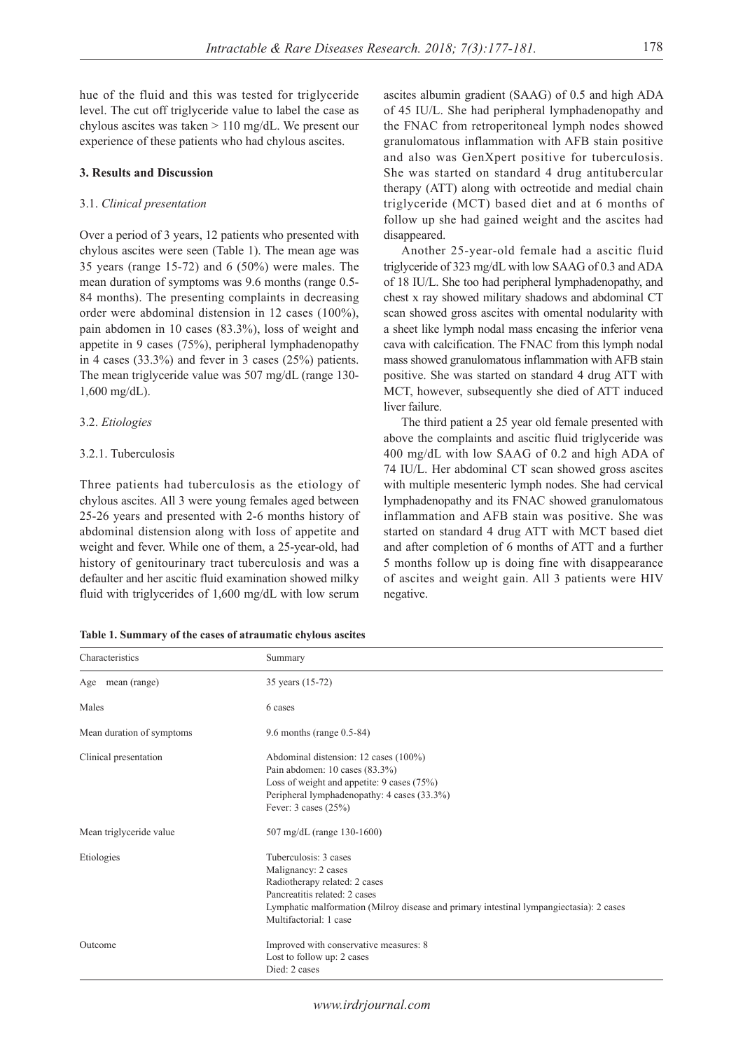hue of the fluid and this was tested for triglyceride level. The cut off triglyceride value to label the case as chylous ascites was taken > 110 mg/dL. We present our experience of these patients who had chylous ascites.

## **3. Results and Discussion**

#### 3.1. *Clinical presentation*

Over a period of 3 years, 12 patients who presented with chylous ascites were seen (Table 1). The mean age was 35 years (range 15-72) and 6 (50%) were males. The mean duration of symptoms was 9.6 months (range 0.5- 84 months). The presenting complaints in decreasing order were abdominal distension in 12 cases (100%), pain abdomen in 10 cases (83.3%), loss of weight and appetite in 9 cases (75%), peripheral lymphadenopathy in 4 cases (33.3%) and fever in 3 cases (25%) patients. The mean triglyceride value was 507 mg/dL (range 130- 1,600 mg/dL).

#### 3.2. *Etiologies*

#### 3.2.1. Tuberculosis

Three patients had tuberculosis as the etiology of chylous ascites. All 3 were young females aged between 25-26 years and presented with 2-6 months history of abdominal distension along with loss of appetite and weight and fever. While one of them, a 25-year-old, had history of genitourinary tract tuberculosis and was a defaulter and her ascitic fluid examination showed milky fluid with triglycerides of 1,600 mg/dL with low serum

ascites albumin gradient (SAAG) of 0.5 and high ADA of 45 IU/L. She had peripheral lymphadenopathy and the FNAC from retroperitoneal lymph nodes showed granulomatous inflammation with AFB stain positive and also was GenXpert positive for tuberculosis. She was started on standard 4 drug antitubercular therapy (ATT) along with octreotide and medial chain triglyceride (MCT) based diet and at 6 months of follow up she had gained weight and the ascites had disappeared.

Another 25-year-old female had a ascitic fluid triglyceride of 323 mg/dL with low SAAG of 0.3 and ADA of 18 IU/L. She too had peripheral lymphadenopathy, and chest x ray showed military shadows and abdominal CT scan showed gross ascites with omental nodularity with a sheet like lymph nodal mass encasing the inferior vena cava with calcification. The FNAC from this lymph nodal mass showed granulomatous inflammation with AFB stain positive. She was started on standard 4 drug ATT with MCT, however, subsequently she died of ATT induced liver failure.

The third patient a 25 year old female presented with above the complaints and ascitic fluid triglyceride was 400 mg/dL with low SAAG of 0.2 and high ADA of 74 IU/L. Her abdominal CT scan showed gross ascites with multiple mesenteric lymph nodes. She had cervical lymphadenopathy and its FNAC showed granulomatous inflammation and AFB stain was positive. She was started on standard 4 drug ATT with MCT based diet and after completion of 6 months of ATT and a further 5 months follow up is doing fine with disappearance of ascites and weight gain. All 3 patients were HIV negative.

|  |  | Table 1. Summary of the cases of atraumatic chylous ascites |  |  |
|--|--|-------------------------------------------------------------|--|--|
|  |  |                                                             |  |  |

| Characteristics           | Summary                                                                                                                                                                                                                             |  |  |  |  |
|---------------------------|-------------------------------------------------------------------------------------------------------------------------------------------------------------------------------------------------------------------------------------|--|--|--|--|
| Age mean (range)          | 35 years (15-72)                                                                                                                                                                                                                    |  |  |  |  |
| Males                     | 6 cases                                                                                                                                                                                                                             |  |  |  |  |
| Mean duration of symptoms | 9.6 months (range $0.5-84$ )                                                                                                                                                                                                        |  |  |  |  |
| Clinical presentation     | Abdominal distension: 12 cases (100%)<br>Pain abdomen: 10 cases (83.3%)<br>Loss of weight and appetite: $9 \text{ cases} (75\%)$<br>Peripheral lymphadenopathy: 4 cases (33.3%)<br>Fever: $3 \text{ cases } (25\%)$                 |  |  |  |  |
| Mean triglyceride value   | 507 mg/dL (range 130-1600)                                                                                                                                                                                                          |  |  |  |  |
| Etiologies                | Tuberculosis: 3 cases<br>Malignancy: 2 cases<br>Radiotherapy related: 2 cases<br>Pancreatitis related: 2 cases<br>Lymphatic malformation (Milroy disease and primary intestinal lympangiectasia): 2 cases<br>Multifactorial: 1 case |  |  |  |  |
| Outcome                   | Improved with conservative measures: 8<br>Lost to follow up: 2 cases<br>Died: 2 cases                                                                                                                                               |  |  |  |  |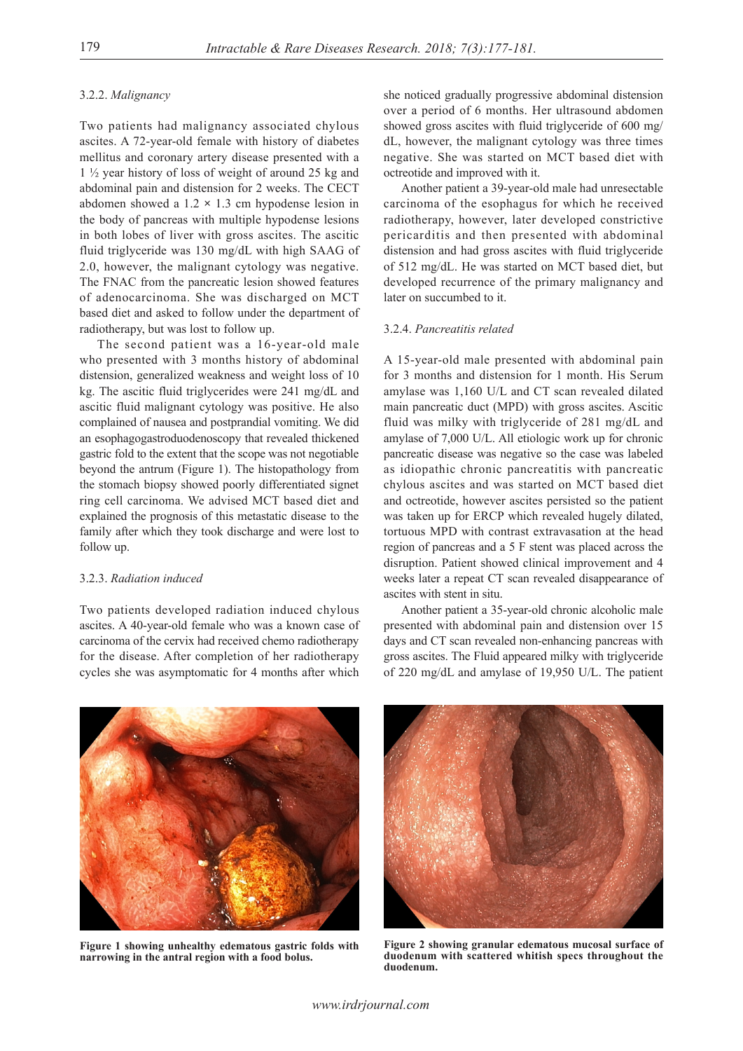#### 3.2.2. *Malignancy*

Two patients had malignancy associated chylous ascites. A 72-year-old female with history of diabetes mellitus and coronary artery disease presented with a 1 ½ year history of loss of weight of around 25 kg and abdominal pain and distension for 2 weeks. The CECT abdomen showed a 1.2 **×** 1.3 cm hypodense lesion in the body of pancreas with multiple hypodense lesions in both lobes of liver with gross ascites. The ascitic fluid triglyceride was 130 mg/dL with high SAAG of 2.0, however, the malignant cytology was negative. The FNAC from the pancreatic lesion showed features of adenocarcinoma. She was discharged on MCT based diet and asked to follow under the department of radiotherapy, but was lost to follow up.

The second patient was a 16-year-old male who presented with 3 months history of abdominal distension, generalized weakness and weight loss of 10 kg. The ascitic fluid triglycerides were 241 mg/dL and ascitic fluid malignant cytology was positive. He also complained of nausea and postprandial vomiting. We did an esophagogastroduodenoscopy that revealed thickened gastric fold to the extent that the scope was not negotiable beyond the antrum (Figure 1). The histopathology from the stomach biopsy showed poorly differentiated signet ring cell carcinoma. We advised MCT based diet and explained the prognosis of this metastatic disease to the family after which they took discharge and were lost to follow up.

# 3.2.3. *Radiation induced*

Two patients developed radiation induced chylous ascites. A 40-year-old female who was a known case of carcinoma of the cervix had received chemo radiotherapy for the disease. After completion of her radiotherapy cycles she was asymptomatic for 4 months after which

she noticed gradually progressive abdominal distension over a period of 6 months. Her ultrasound abdomen showed gross ascites with fluid triglyceride of 600 mg/ dL, however, the malignant cytology was three times negative. She was started on MCT based diet with octreotide and improved with it.

Another patient a 39-year-old male had unresectable carcinoma of the esophagus for which he received radiotherapy, however, later developed constrictive pericarditis and then presented with abdominal distension and had gross ascites with fluid triglyceride of 512 mg/dL. He was started on MCT based diet, but developed recurrence of the primary malignancy and later on succumbed to it.

#### 3.2.4. *Pancreatitis related*

A 15-year-old male presented with abdominal pain for 3 months and distension for 1 month. His Serum amylase was 1,160 U/L and CT scan revealed dilated main pancreatic duct (MPD) with gross ascites. Ascitic fluid was milky with triglyceride of 281 mg/dL and amylase of 7,000 U/L. All etiologic work up for chronic pancreatic disease was negative so the case was labeled as idiopathic chronic pancreatitis with pancreatic chylous ascites and was started on MCT based diet and octreotide, however ascites persisted so the patient was taken up for ERCP which revealed hugely dilated, tortuous MPD with contrast extravasation at the head region of pancreas and a 5 F stent was placed across the disruption. Patient showed clinical improvement and 4 weeks later a repeat CT scan revealed disappearance of ascites with stent in situ.

Another patient a 35-year-old chronic alcoholic male presented with abdominal pain and distension over 15 days and CT scan revealed non-enhancing pancreas with gross ascites. The Fluid appeared milky with triglyceride of 220 mg/dL and amylase of 19,950 U/L. The patient



**Figure 1 showing unhealthy edematous gastric folds with narrowing in the antral region with a food bolus.**



**Figure 2 showing granular edematous mucosal surface of duodenum with scattered whitish specs throughout the duodenum.**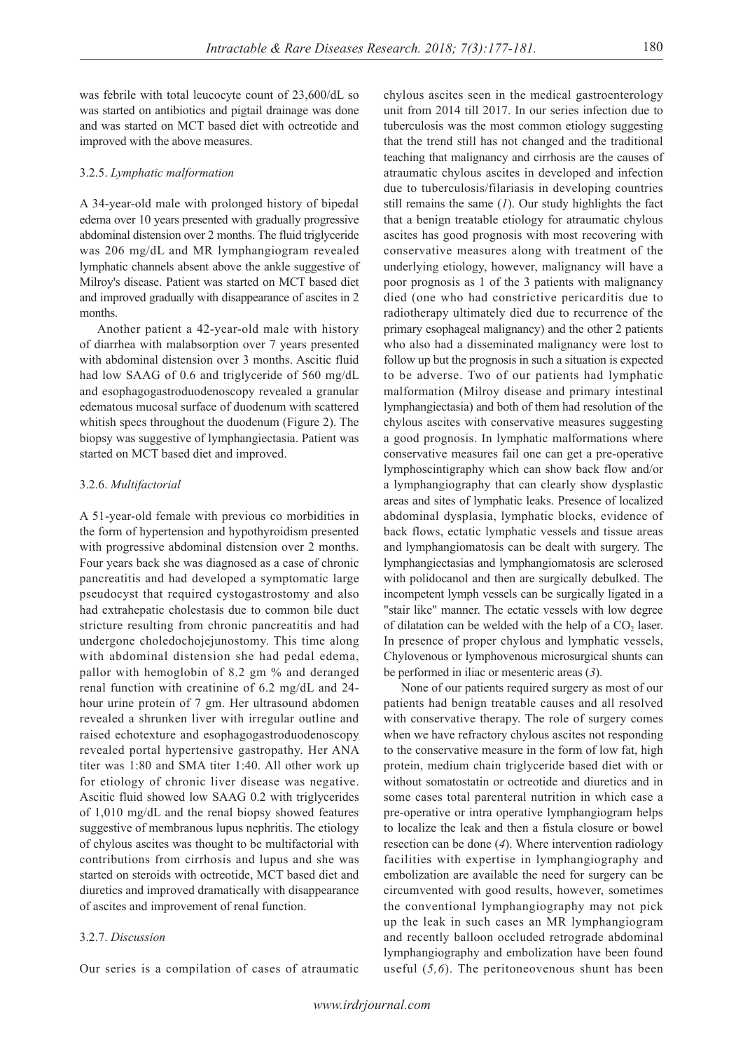was febrile with total leucocyte count of 23,600/dL so was started on antibiotics and pigtail drainage was done and was started on MCT based diet with octreotide and improved with the above measures.

#### 3.2.5. *Lymphatic malformation*

A 34-year-old male with prolonged history of bipedal edema over 10 years presented with gradually progressive abdominal distension over 2 months. The fluid triglyceride was 206 mg/dL and MR lymphangiogram revealed lymphatic channels absent above the ankle suggestive of Milroy's disease. Patient was started on MCT based diet and improved gradually with disappearance of ascites in 2 months.

Another patient a 42-year-old male with history of diarrhea with malabsorption over 7 years presented with abdominal distension over 3 months. Ascitic fluid had low SAAG of 0.6 and triglyceride of 560 mg/dL and esophagogastroduodenoscopy revealed a granular edematous mucosal surface of duodenum with scattered whitish specs throughout the duodenum (Figure 2). The biopsy was suggestive of lymphangiectasia. Patient was started on MCT based diet and improved.

#### 3.2.6. *Multifactorial*

A 51-year-old female with previous co morbidities in the form of hypertension and hypothyroidism presented with progressive abdominal distension over 2 months. Four years back she was diagnosed as a case of chronic pancreatitis and had developed a symptomatic large pseudocyst that required cystogastrostomy and also had extrahepatic cholestasis due to common bile duct stricture resulting from chronic pancreatitis and had undergone choledochojejunostomy. This time along with abdominal distension she had pedal edema, pallor with hemoglobin of 8.2 gm % and deranged renal function with creatinine of 6.2 mg/dL and 24 hour urine protein of 7 gm. Her ultrasound abdomen revealed a shrunken liver with irregular outline and raised echotexture and esophagogastroduodenoscopy revealed portal hypertensive gastropathy. Her ANA titer was 1:80 and SMA titer 1:40. All other work up for etiology of chronic liver disease was negative. Ascitic fluid showed low SAAG 0.2 with triglycerides of 1,010 mg/dL and the renal biopsy showed features suggestive of membranous lupus nephritis. The etiology of chylous ascites was thought to be multifactorial with contributions from cirrhosis and lupus and she was started on steroids with octreotide, MCT based diet and diuretics and improved dramatically with disappearance of ascites and improvement of renal function.

### 3.2.7. *Discussion*

Our series is a compilation of cases of atraumatic

chylous ascites seen in the medical gastroenterology unit from 2014 till 2017. In our series infection due to tuberculosis was the most common etiology suggesting that the trend still has not changed and the traditional teaching that malignancy and cirrhosis are the causes of atraumatic chylous ascites in developed and infection due to tuberculosis/filariasis in developing countries still remains the same (*1*). Our study highlights the fact that a benign treatable etiology for atraumatic chylous ascites has good prognosis with most recovering with conservative measures along with treatment of the underlying etiology, however, malignancy will have a poor prognosis as 1 of the 3 patients with malignancy died (one who had constrictive pericarditis due to radiotherapy ultimately died due to recurrence of the primary esophageal malignancy) and the other 2 patients who also had a disseminated malignancy were lost to follow up but the prognosis in such a situation is expected to be adverse. Two of our patients had lymphatic malformation (Milroy disease and primary intestinal lymphangiectasia) and both of them had resolution of the chylous ascites with conservative measures suggesting a good prognosis. In lymphatic malformations where conservative measures fail one can get a pre-operative lymphoscintigraphy which can show back flow and/or a lymphangiography that can clearly show dysplastic areas and sites of lymphatic leaks. Presence of localized abdominal dysplasia, lymphatic blocks, evidence of back flows, ectatic lymphatic vessels and tissue areas and lymphangiomatosis can be dealt with surgery. The lymphangiectasias and lymphangiomatosis are sclerosed with polidocanol and then are surgically debulked. The incompetent lymph vessels can be surgically ligated in a "stair like" manner. The ectatic vessels with low degree of dilatation can be welded with the help of a  $CO<sub>2</sub>$  laser. In presence of proper chylous and lymphatic vessels, Chylovenous or lymphovenous microsurgical shunts can be performed in iliac or mesenteric areas (*3*).

None of our patients required surgery as most of our patients had benign treatable causes and all resolved with conservative therapy. The role of surgery comes when we have refractory chylous ascites not responding to the conservative measure in the form of low fat, high protein, medium chain triglyceride based diet with or without somatostatin or octreotide and diuretics and in some cases total parenteral nutrition in which case a pre-operative or intra operative lymphangiogram helps to localize the leak and then a fistula closure or bowel resection can be done (*4*). Where intervention radiology facilities with expertise in lymphangiography and embolization are available the need for surgery can be circumvented with good results, however, sometimes the conventional lymphangiography may not pick up the leak in such cases an MR lymphangiogram and recently balloon occluded retrograde abdominal lymphangiography and embolization have been found useful (*5,6*). The peritoneovenous shunt has been